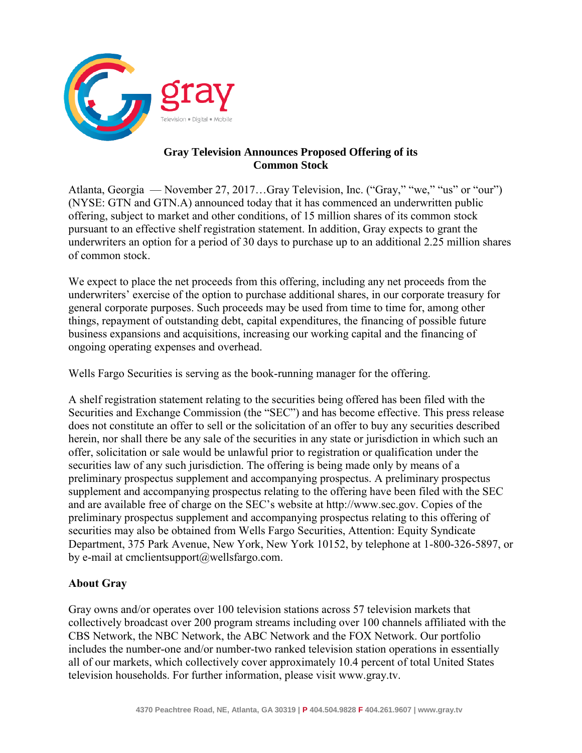

## **Gray Television Announces Proposed Offering of its Common Stock**

Atlanta, Georgia — November 27, 2017…Gray Television, Inc. ("Gray," "we," "us" or "our") (NYSE: GTN and GTN.A) announced today that it has commenced an underwritten public offering, subject to market and other conditions, of 15 million shares of its common stock pursuant to an effective shelf registration statement. In addition, Gray expects to grant the underwriters an option for a period of 30 days to purchase up to an additional 2.25 million shares of common stock.

We expect to place the net proceeds from this offering, including any net proceeds from the underwriters' exercise of the option to purchase additional shares, in our corporate treasury for general corporate purposes. Such proceeds may be used from time to time for, among other things, repayment of outstanding debt, capital expenditures, the financing of possible future business expansions and acquisitions, increasing our working capital and the financing of ongoing operating expenses and overhead.

Wells Fargo Securities is serving as the book-running manager for the offering.

A shelf registration statement relating to the securities being offered has been filed with the Securities and Exchange Commission (the "SEC") and has become effective. This press release does not constitute an offer to sell or the solicitation of an offer to buy any securities described herein, nor shall there be any sale of the securities in any state or jurisdiction in which such an offer, solicitation or sale would be unlawful prior to registration or qualification under the securities law of any such jurisdiction. The offering is being made only by means of a preliminary prospectus supplement and accompanying prospectus. A preliminary prospectus supplement and accompanying prospectus relating to the offering have been filed with the SEC and are available free of charge on the SEC's website at http://www.sec.gov. Copies of the preliminary prospectus supplement and accompanying prospectus relating to this offering of securities may also be obtained from Wells Fargo Securities, Attention: Equity Syndicate Department, 375 Park Avenue, New York, New York 10152, by telephone at 1-800-326-5897, or by e-mail at cmclientsupport@wellsfargo.com.

## **About Gray**

Gray owns and/or operates over 100 television stations across 57 television markets that collectively broadcast over 200 program streams including over 100 channels affiliated with the CBS Network, the NBC Network, the ABC Network and the FOX Network. Our portfolio includes the number-one and/or number-two ranked television station operations in essentially all of our markets, which collectively cover approximately 10.4 percent of total United States television households. For further information, please visit www.gray.tv.